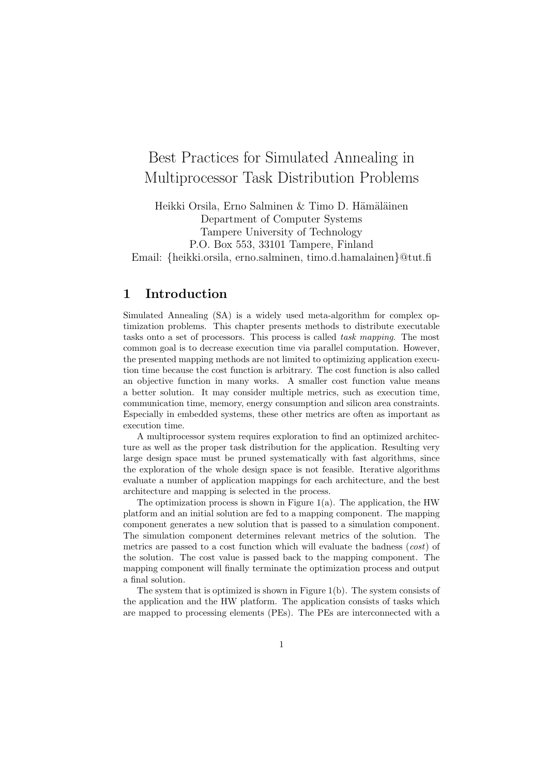# Best Practices for Simulated Annealing in Multiprocessor Task Distribution Problems

Heikki Orsila, Erno Salminen & Timo D. Hämäläinen Department of Computer Systems Tampere University of Technology P.O. Box 553, 33101 Tampere, Finland Email: {heikki.orsila, erno.salminen, timo.d.hamalainen}@tut.fi

# 1 Introduction

Simulated Annealing (SA) is a widely used meta-algorithm for complex optimization problems. This chapter presents methods to distribute executable tasks onto a set of processors. This process is called task mapping. The most common goal is to decrease execution time via parallel computation. However, the presented mapping methods are not limited to optimizing application execution time because the cost function is arbitrary. The cost function is also called an objective function in many works. A smaller cost function value means a better solution. It may consider multiple metrics, such as execution time, communication time, memory, energy consumption and silicon area constraints. Especially in embedded systems, these other metrics are often as important as execution time.

A multiprocessor system requires exploration to find an optimized architecture as well as the proper task distribution for the application. Resulting very large design space must be pruned systematically with fast algorithms, since the exploration of the whole design space is not feasible. Iterative algorithms evaluate a number of application mappings for each architecture, and the best architecture and mapping is selected in the process.

The optimization process is shown in Figure 1(a). The application, the HW platform and an initial solution are fed to a mapping component. The mapping component generates a new solution that is passed to a simulation component. The simulation component determines relevant metrics of the solution. The metrics are passed to a cost function which will evaluate the badness (cost) of the solution. The cost value is passed back to the mapping component. The mapping component will finally terminate the optimization process and output a final solution.

The system that is optimized is shown in Figure 1(b). The system consists of the application and the HW platform. The application consists of tasks which are mapped to processing elements (PEs). The PEs are interconnected with a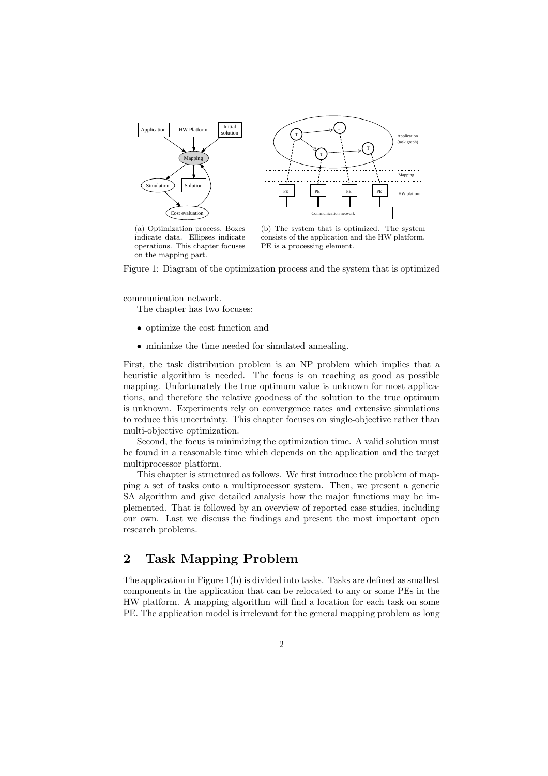

(a) Optimization process. Boxes indicate data. Ellipses indicate operations. This chapter focuses on the mapping part.

(b) The system that is optimized. The system consists of the application and the HW platform. PE is a processing element.

Figure 1: Diagram of the optimization process and the system that is optimized

communication network.

The chapter has two focuses:

- optimize the cost function and
- minimize the time needed for simulated annealing.

First, the task distribution problem is an NP problem which implies that a heuristic algorithm is needed. The focus is on reaching as good as possible mapping. Unfortunately the true optimum value is unknown for most applications, and therefore the relative goodness of the solution to the true optimum is unknown. Experiments rely on convergence rates and extensive simulations to reduce this uncertainty. This chapter focuses on single-objective rather than multi-objective optimization.

Second, the focus is minimizing the optimization time. A valid solution must be found in a reasonable time which depends on the application and the target multiprocessor platform.

This chapter is structured as follows. We first introduce the problem of mapping a set of tasks onto a multiprocessor system. Then, we present a generic SA algorithm and give detailed analysis how the major functions may be implemented. That is followed by an overview of reported case studies, including our own. Last we discuss the findings and present the most important open research problems.

# 2 Task Mapping Problem

The application in Figure 1(b) is divided into tasks. Tasks are defined as smallest components in the application that can be relocated to any or some PEs in the HW platform. A mapping algorithm will find a location for each task on some PE. The application model is irrelevant for the general mapping problem as long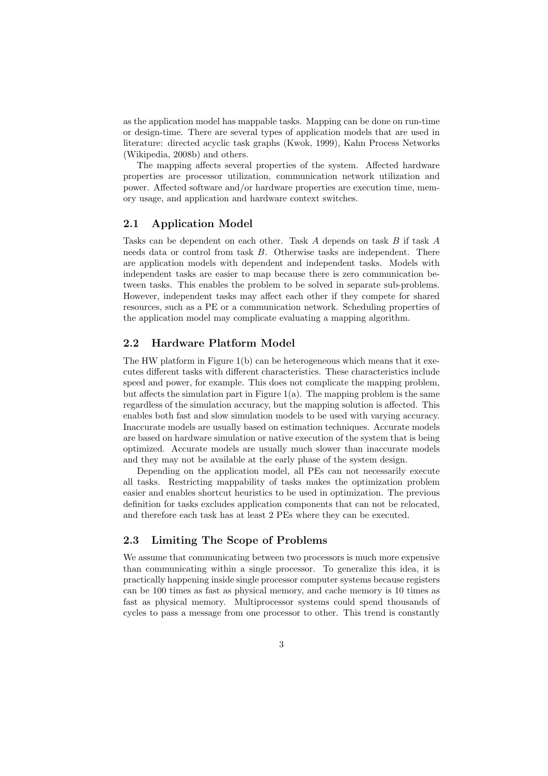as the application model has mappable tasks. Mapping can be done on run-time or design-time. There are several types of application models that are used in literature: directed acyclic task graphs (Kwok, 1999), Kahn Process Networks (Wikipedia, 2008b) and others.

The mapping affects several properties of the system. Affected hardware properties are processor utilization, communication network utilization and power. Affected software and/or hardware properties are execution time, memory usage, and application and hardware context switches.

### 2.1 Application Model

Tasks can be dependent on each other. Task A depends on task B if task A needs data or control from task B. Otherwise tasks are independent. There are application models with dependent and independent tasks. Models with independent tasks are easier to map because there is zero communication between tasks. This enables the problem to be solved in separate sub-problems. However, independent tasks may affect each other if they compete for shared resources, such as a PE or a communication network. Scheduling properties of the application model may complicate evaluating a mapping algorithm.

# 2.2 Hardware Platform Model

The HW platform in Figure 1(b) can be heterogeneous which means that it executes different tasks with different characteristics. These characteristics include speed and power, for example. This does not complicate the mapping problem, but affects the simulation part in Figure  $1(a)$ . The mapping problem is the same regardless of the simulation accuracy, but the mapping solution is affected. This enables both fast and slow simulation models to be used with varying accuracy. Inaccurate models are usually based on estimation techniques. Accurate models are based on hardware simulation or native execution of the system that is being optimized. Accurate models are usually much slower than inaccurate models and they may not be available at the early phase of the system design.

Depending on the application model, all PEs can not necessarily execute all tasks. Restricting mappability of tasks makes the optimization problem easier and enables shortcut heuristics to be used in optimization. The previous definition for tasks excludes application components that can not be relocated, and therefore each task has at least 2 PEs where they can be executed.

# 2.3 Limiting The Scope of Problems

We assume that communicating between two processors is much more expensive than communicating within a single processor. To generalize this idea, it is practically happening inside single processor computer systems because registers can be 100 times as fast as physical memory, and cache memory is 10 times as fast as physical memory. Multiprocessor systems could spend thousands of cycles to pass a message from one processor to other. This trend is constantly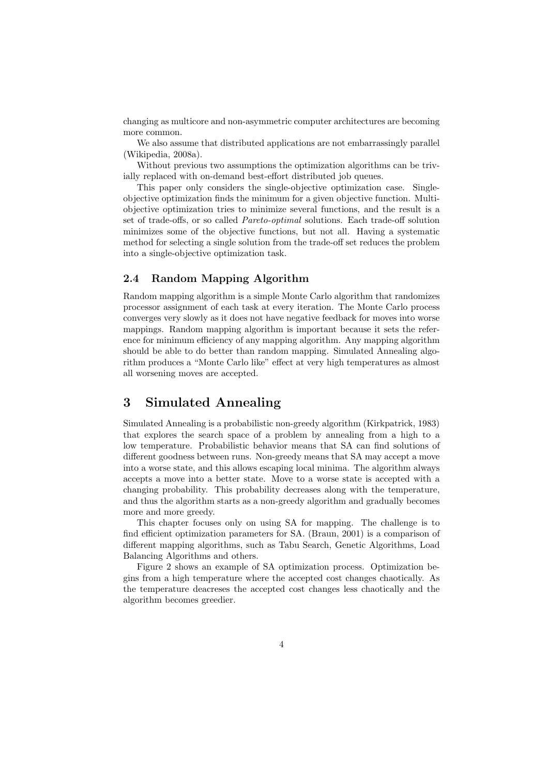changing as multicore and non-asymmetric computer architectures are becoming more common.

We also assume that distributed applications are not embarrassingly parallel (Wikipedia, 2008a).

Without previous two assumptions the optimization algorithms can be trivially replaced with on-demand best-effort distributed job queues.

This paper only considers the single-objective optimization case. Singleobjective optimization finds the minimum for a given objective function. Multiobjective optimization tries to minimize several functions, and the result is a set of trade-offs, or so called Pareto-optimal solutions. Each trade-off solution minimizes some of the objective functions, but not all. Having a systematic method for selecting a single solution from the trade-off set reduces the problem into a single-objective optimization task.

# 2.4 Random Mapping Algorithm

Random mapping algorithm is a simple Monte Carlo algorithm that randomizes processor assignment of each task at every iteration. The Monte Carlo process converges very slowly as it does not have negative feedback for moves into worse mappings. Random mapping algorithm is important because it sets the reference for minimum efficiency of any mapping algorithm. Any mapping algorithm should be able to do better than random mapping. Simulated Annealing algorithm produces a "Monte Carlo like" effect at very high temperatures as almost all worsening moves are accepted.

# 3 Simulated Annealing

Simulated Annealing is a probabilistic non-greedy algorithm (Kirkpatrick, 1983) that explores the search space of a problem by annealing from a high to a low temperature. Probabilistic behavior means that SA can find solutions of different goodness between runs. Non-greedy means that SA may accept a move into a worse state, and this allows escaping local minima. The algorithm always accepts a move into a better state. Move to a worse state is accepted with a changing probability. This probability decreases along with the temperature, and thus the algorithm starts as a non-greedy algorithm and gradually becomes more and more greedy.

This chapter focuses only on using SA for mapping. The challenge is to find efficient optimization parameters for SA. (Braun, 2001) is a comparison of different mapping algorithms, such as Tabu Search, Genetic Algorithms, Load Balancing Algorithms and others.

Figure 2 shows an example of SA optimization process. Optimization begins from a high temperature where the accepted cost changes chaotically. As the temperature deacreses the accepted cost changes less chaotically and the algorithm becomes greedier.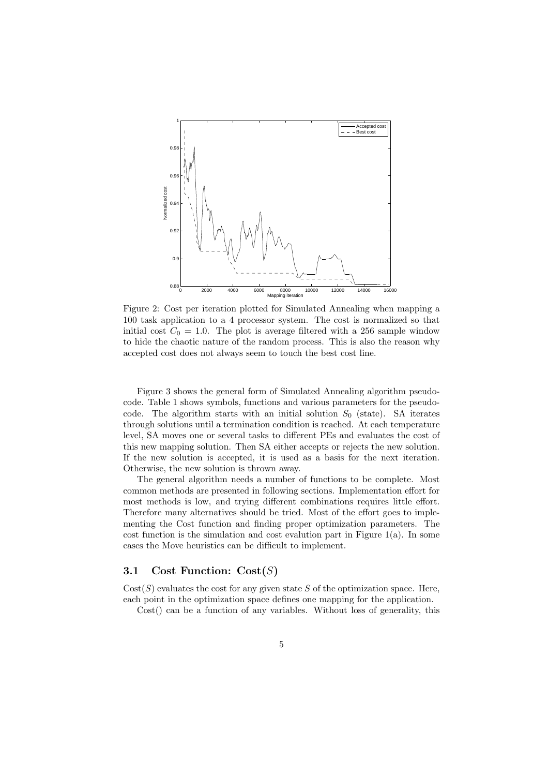

Figure 2: Cost per iteration plotted for Simulated Annealing when mapping a 100 task application to a 4 processor system. The cost is normalized so that initial cost  $C_0 = 1.0$ . The plot is average filtered with a 256 sample window to hide the chaotic nature of the random process. This is also the reason why accepted cost does not always seem to touch the best cost line.

Figure 3 shows the general form of Simulated Annealing algorithm pseudocode. Table 1 shows symbols, functions and various parameters for the pseudocode. The algorithm starts with an initial solution  $S_0$  (state). SA iterates through solutions until a termination condition is reached. At each temperature level, SA moves one or several tasks to different PEs and evaluates the cost of this new mapping solution. Then SA either accepts or rejects the new solution. If the new solution is accepted, it is used as a basis for the next iteration. Otherwise, the new solution is thrown away.

The general algorithm needs a number of functions to be complete. Most common methods are presented in following sections. Implementation effort for most methods is low, and trying different combinations requires little effort. Therefore many alternatives should be tried. Most of the effort goes to implementing the Cost function and finding proper optimization parameters. The cost function is the simulation and cost evalution part in Figure  $1(a)$ . In some cases the Move heuristics can be difficult to implement.

# 3.1 Cost Function:  $Cost(S)$

 $Cost(S)$  evaluates the cost for any given state S of the optimization space. Here, each point in the optimization space defines one mapping for the application.

Cost() can be a function of any variables. Without loss of generality, this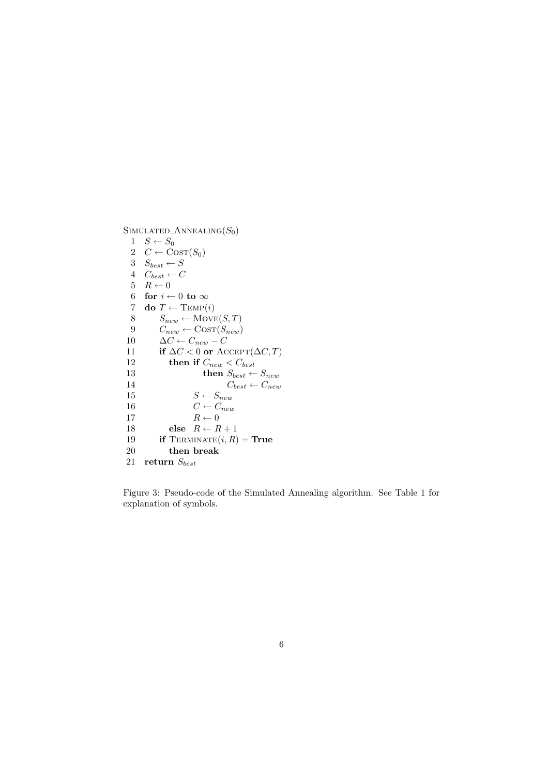```
SIMULATED\_ANNEALING(S_0)1 S \leftarrow S_02 C \leftarrow \text{COST}(S_0)3 S_{best} \leftarrow S4 C_{best} \leftarrow C<br>5 R \leftarrow 0R \leftarrow 06 for i \leftarrow 0 to \infty<br>7 do T \leftarrow \text{Temp}(i)do T \leftarrow \text{Temp}(i)8 S_{new} \leftarrow \text{Move}(S, T)9 C_{new} \leftarrow \text{COST}(S_{new})10 \Delta C \leftarrow C_{new} - C11 if \Delta C < 0 or \text{Accept}(\Delta C, T)12 then if C_{new} < C_{best}<br>13 then S_{best} \leftarrowthen S_{best} \leftarrow S_{new}14 C_{best} \leftarrow C_{new}15 S \leftarrow S_{new}16 C \leftarrow C_{new}17 R \leftarrow 018 else R \leftarrow R + 119 if TERMINATE(i, R) = True20 then break
21 return S_{best}
```
Figure 3: Pseudo-code of the Simulated Annealing algorithm. See Table 1 for explanation of symbols.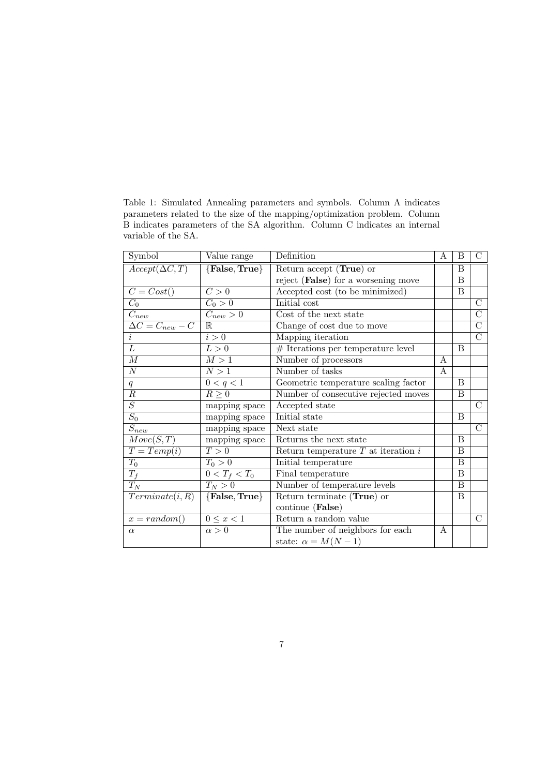| Symbol                              | Value range                                | Definition                              | A            | B              | $\mathcal{C}$  |
|-------------------------------------|--------------------------------------------|-----------------------------------------|--------------|----------------|----------------|
| $Accept(\Delta C, T)$               | $\overline{\{\text{False}, \text{True}\}}$ | Return accept (True) or                 |              | B              |                |
|                                     |                                            | reject (False) for a worsening move     |              | B              |                |
| $C = Cost()$                        | C>0                                        | Accepted cost (to be minimized)         |              | B              |                |
| $C_0$                               | $C_0 > 0$                                  | Initial cost                            |              |                | $\overline{C}$ |
| $C_{new}$                           | $C_{new} > 0$                              | Cost of the next state                  |              |                | $\mathcal{C}$  |
| $\overline{\Delta C} = C_{new} - C$ | $\mathbb{R}$                               | Change of cost due to move              |              |                | $\mathcal{C}$  |
| $\overline{i}$                      | i>0                                        | Mapping iteration                       |              |                | $\overline{C}$ |
| $\overline{L}$                      | L>0                                        | # Iterations per temperature level      |              | $\overline{B}$ |                |
| $\overline{M}$                      | M > 1                                      | Number of processors                    | A            |                |                |
| $\overline{N}$                      | $\overline{N>1}$                           | Number of tasks                         | Α            |                |                |
| $\overline{q}$                      | 0 < q < 1                                  | Geometric temperature scaling factor    |              | <sub>B</sub>   |                |
| $\, R \,$                           | $R\geq 0$                                  | Number of consecutive rejected moves    |              | B              |                |
| $\overline{S}$                      | mapping space                              | Accepted state                          |              |                | $\rm C$        |
| $\overline{S_0}$                    | mapping space                              | Initial state                           |              | B              |                |
| $\overline{S_{new}}$                | mapping space                              | Next state                              |              |                | $\rm C$        |
| Move(S, T)                          | mapping space                              | Returns the next state                  |              | B              |                |
| $T = Temp(i)$                       | $\overline{T>0}$                           | Return temperature $T$ at iteration $i$ |              | B              |                |
| $T_0$                               | $T_0 > 0$                                  | Initial temperature                     |              | B              |                |
| $T_f$                               | $0 < T_f < T_0$                            | Final temperature                       |              | B              |                |
| $T_N$                               | $T_N>0$                                    | Number of temperature levels            |              | B              |                |
| $\overline{Terminate(i, R)}$        | ${False, True}$                            | Return terminate (True) or              |              | B              |                |
|                                     |                                            | continue (False)                        |              |                |                |
| $x = random()$                      | $0\leq x<1$                                | Return a random value                   |              |                | $\mathcal{C}$  |
| $\alpha$                            | $\alpha > 0$                               | The number of neighbors for each        | $\mathsf{A}$ |                |                |
|                                     |                                            | state: $\alpha = M(N-1)$                |              |                |                |

Table 1: Simulated Annealing parameters and symbols. Column A indicates parameters related to the size of the mapping/optimization problem. Column B indicates parameters of the SA algorithm. Column C indicates an internal variable of the SA.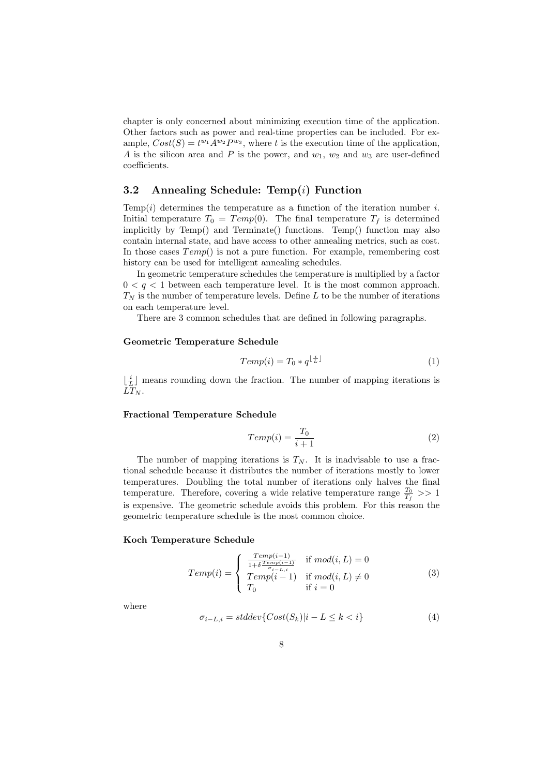chapter is only concerned about minimizing execution time of the application. Other factors such as power and real-time properties can be included. For example,  $Cost(S) = t^{w_1} A^{w_2} P^{w_3}$ , where t is the execution time of the application, A is the silicon area and P is the power, and  $w_1$ ,  $w_2$  and  $w_3$  are user-defined coefficients.

# 3.2 Annealing Schedule:  $Temp(i)$  Function

Temp(i) determines the temperature as a function of the iteration number i. Initial temperature  $T_0 = Temp(0)$ . The final temperature  $T_f$  is determined implicitly by Temp() and Terminate() functions. Temp() function may also contain internal state, and have access to other annealing metrics, such as cost. In those cases  $Temp()$  is not a pure function. For example, remembering cost history can be used for intelligent annealing schedules.

In geometric temperature schedules the temperature is multiplied by a factor  $0 < q < 1$  between each temperature level. It is the most common approach.  $T_N$  is the number of temperature levels. Define L to be the number of iterations on each temperature level.

There are 3 common schedules that are defined in following paragraphs.

#### Geometric Temperature Schedule

$$
Temp(i) = T_0 * q^{\lfloor \frac{i}{L} \rfloor} \tag{1}
$$

 $\lfloor \frac{i}{L} \rfloor$  means rounding down the fraction. The number of mapping iterations is  $LT_N$ .

#### Fractional Temperature Schedule

$$
Temp(i) = \frac{T_0}{i+1} \tag{2}
$$

The number of mapping iterations is  $T_N$ . It is inadvisable to use a fractional schedule because it distributes the number of iterations mostly to lower temperatures. Doubling the total number of iterations only halves the final temperature. Therefore, covering a wide relative temperature range  $\frac{T_0}{T_f} >> 1$ is expensive. The geometric schedule avoids this problem. For this reason the geometric temperature schedule is the most common choice.

#### Koch Temperature Schedule

$$
Temp(i) = \begin{cases} \frac{Temp(i-1)}{1+\delta \frac{Temp(i-1)}{\sigma_{i-L,i}}} & \text{if } mod(i, L) = 0\\ Temp(i-1) & \text{if } mod(i, L) \neq 0\\ T_0 & \text{if } i = 0 \end{cases}
$$
(3)

where

$$
\sigma_{i-L,i} = stddev\{Cost(S_k)|i - L \le k < i\}
$$
\n<sup>(4)</sup>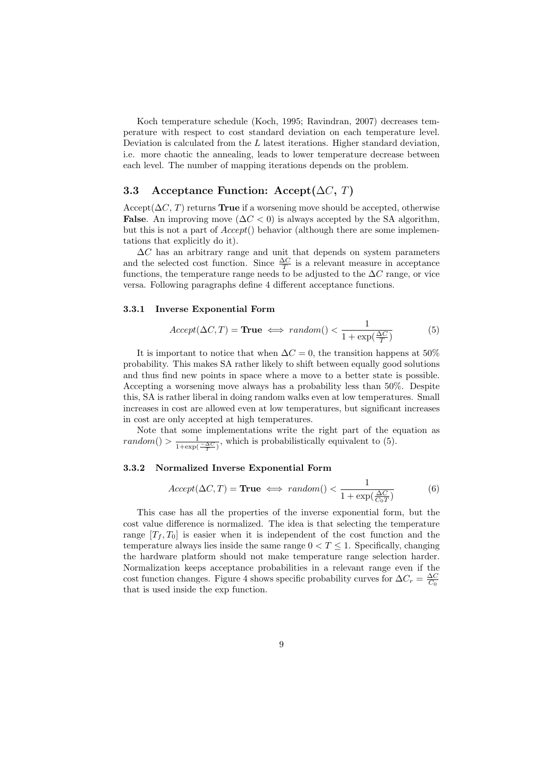Koch temperature schedule (Koch, 1995; Ravindran, 2007) decreases temperature with respect to cost standard deviation on each temperature level. Deviation is calculated from the L latest iterations. Higher standard deviation, i.e. more chaotic the annealing, leads to lower temperature decrease between each level. The number of mapping iterations depends on the problem.

### 3.3 Acceptance Function: Accept( $\Delta C$ , T)

Accept( $\Delta C$ , T) returns **True** if a worsening move should be accepted, otherwise **False.** An improving move  $(\Delta C < 0)$  is always accepted by the SA algorithm. but this is not a part of  $Accept()$  behavior (although there are some implementations that explicitly do it).

 $\Delta C$  has an arbitrary range and unit that depends on system parameters and the selected cost function. Since  $\frac{\Delta C}{T}$  is a relevant measure in acceptance functions, the temperature range needs to be adjusted to the  $\Delta C$  range, or vice versa. Following paragraphs define 4 different acceptance functions.

#### 3.3.1 Inverse Exponential Form

$$
Accept(\Delta C, T) = \text{True} \iff random() < \frac{1}{1 + \exp(\frac{\Delta C}{T})} \tag{5}
$$

It is important to notice that when  $\Delta C = 0$ , the transition happens at 50% probability. This makes SA rather likely to shift between equally good solutions and thus find new points in space where a move to a better state is possible. Accepting a worsening move always has a probability less than 50%. Despite this, SA is rather liberal in doing random walks even at low temperatures. Small increases in cost are allowed even at low temperatures, but significant increases in cost are only accepted at high temperatures.

Note that some implementations write the right part of the equation as  $random() > \frac{1}{1+\exp(\frac{-\Delta C}{T})}$ , which is probabilistically equivalent to (5).

#### 3.3.2 Normalized Inverse Exponential Form

$$
Accept(\Delta C, T) = \text{True} \iff random() < \frac{1}{1 + \exp(\frac{\Delta C}{C_0 T})} \tag{6}
$$

This case has all the properties of the inverse exponential form, but the cost value difference is normalized. The idea is that selecting the temperature range  $[T_f, T_0]$  is easier when it is independent of the cost function and the temperature always lies inside the same range  $0 < T \leq 1$ . Specifically, changing the hardware platform should not make temperature range selection harder. Normalization keeps acceptance probabilities in a relevant range even if the cost function changes. Figure 4 shows specific probability curves for  $\Delta C_r = \frac{\Delta C}{C_0}$ that is used inside the exp function.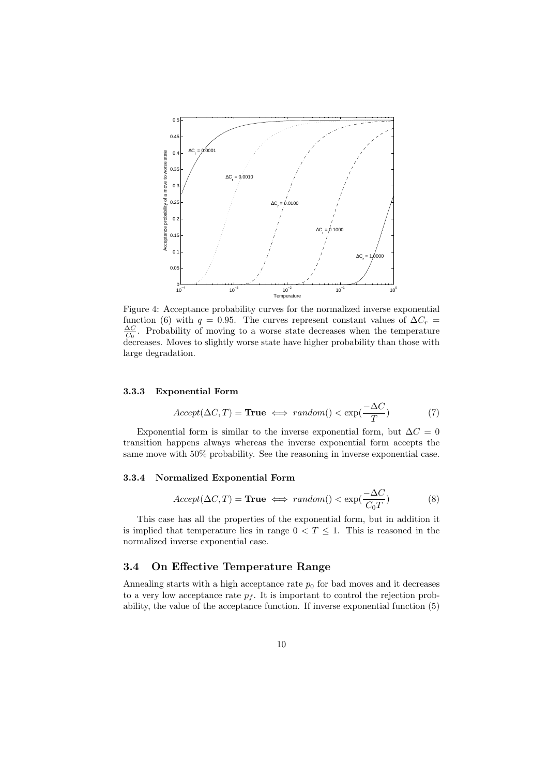

Figure 4: Acceptance probability curves for the normalized inverse exponential function (6) with  $q = 0.95$ . The curves represent constant values of  $\Delta C_r$  =  $\frac{\Delta C}{C_0}$ . Probability of moving to a worse state decreases when the temperature decreases. Moves to slightly worse state have higher probability than those with large degradation.

#### 3.3.3 Exponential Form

$$
Accept(\Delta C, T) = \text{True} \iff random() < \exp(\frac{-\Delta C}{T}) \tag{7}
$$

Exponential form is similar to the inverse exponential form, but  $\Delta C = 0$ transition happens always whereas the inverse exponential form accepts the same move with 50% probability. See the reasoning in inverse exponential case.

#### 3.3.4 Normalized Exponential Form

$$
Accept(\Delta C, T) = \text{True} \iff random() < \exp(\frac{-\Delta C}{C_0 T}) \tag{8}
$$

This case has all the properties of the exponential form, but in addition it is implied that temperature lies in range  $0 < T \leq 1$ . This is reasoned in the normalized inverse exponential case.

### 3.4 On Effective Temperature Range

Annealing starts with a high acceptance rate  $p_0$  for bad moves and it decreases to a very low acceptance rate  $p_f$ . It is important to control the rejection probability, the value of the acceptance function. If inverse exponential function (5)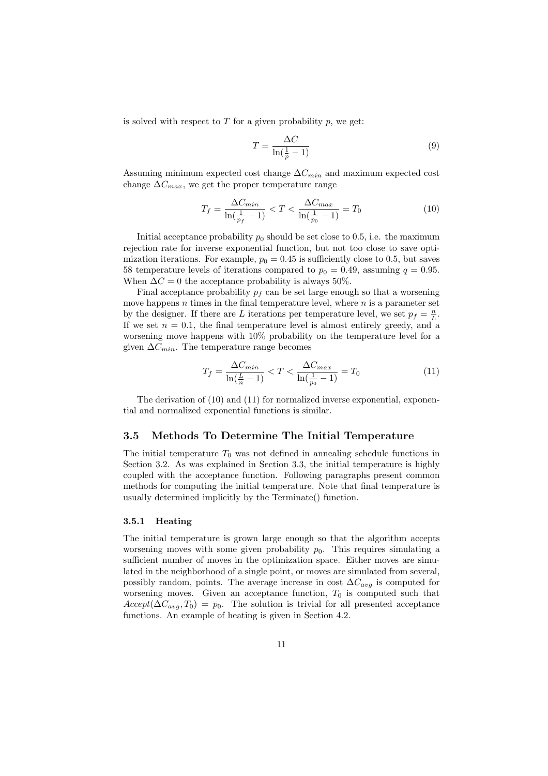is solved with respect to  $T$  for a given probability  $p$ , we get:

$$
T = \frac{\Delta C}{\ln(\frac{1}{p} - 1)}\tag{9}
$$

Assuming minimum expected cost change  $\Delta C_{min}$  and maximum expected cost change  $\Delta C_{max}$ , we get the proper temperature range

$$
T_f = \frac{\Delta C_{min}}{\ln(\frac{1}{p_f} - 1)} < T < \frac{\Delta C_{max}}{\ln(\frac{1}{p_0} - 1)} = T_0 \tag{10}
$$

Initial acceptance probability  $p_0$  should be set close to 0.5, i.e. the maximum rejection rate for inverse exponential function, but not too close to save optimization iterations. For example,  $p_0 = 0.45$  is sufficiently close to 0.5, but saves 58 temperature levels of iterations compared to  $p_0 = 0.49$ , assuming  $q = 0.95$ . When  $\Delta C = 0$  the acceptance probability is always 50%.

Final acceptance probability  $p_f$  can be set large enough so that a worsening move happens  $n$  times in the final temperature level, where  $n$  is a parameter set by the designer. If there are L iterations per temperature level, we set  $p_f = \frac{n}{L}$ . If we set  $n = 0.1$ , the final temperature level is almost entirely greedy, and a worsening move happens with 10% probability on the temperature level for a given  $\Delta C_{min}$ . The temperature range becomes

$$
T_f = \frac{\Delta C_{min}}{\ln(\frac{L}{n} - 1)} < T < \frac{\Delta C_{max}}{\ln(\frac{1}{p_0} - 1)} = T_0 \tag{11}
$$

The derivation of (10) and (11) for normalized inverse exponential, exponential and normalized exponential functions is similar.

#### 3.5 Methods To Determine The Initial Temperature

The initial temperature  $T_0$  was not defined in annealing schedule functions in Section 3.2. As was explained in Section 3.3, the initial temperature is highly coupled with the acceptance function. Following paragraphs present common methods for computing the initial temperature. Note that final temperature is usually determined implicitly by the Terminate() function.

#### 3.5.1 Heating

The initial temperature is grown large enough so that the algorithm accepts worsening moves with some given probability  $p_0$ . This requires simulating a sufficient number of moves in the optimization space. Either moves are simulated in the neighborhood of a single point, or moves are simulated from several, possibly random, points. The average increase in cost  $\Delta C_{avg}$  is computed for worsening moves. Given an acceptance function,  $T_0$  is computed such that  $Accept(\Delta C_{avg}, T_0) = p_0$ . The solution is trivial for all presented acceptance functions. An example of heating is given in Section 4.2.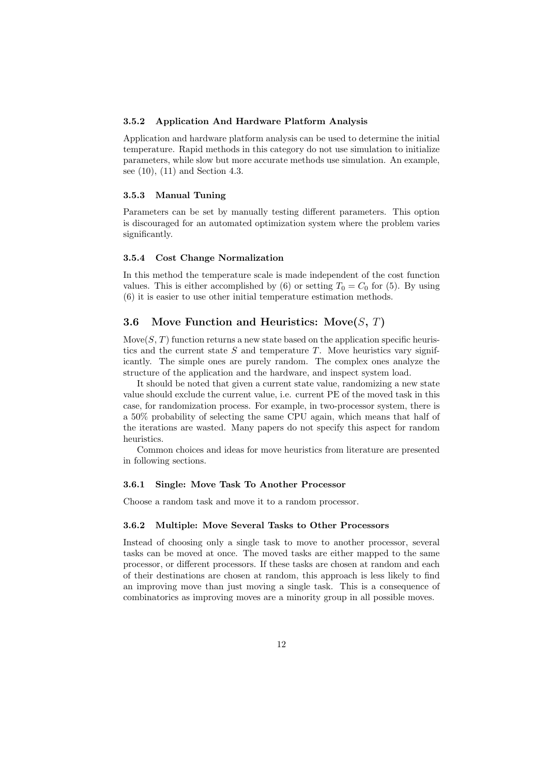#### 3.5.2 Application And Hardware Platform Analysis

Application and hardware platform analysis can be used to determine the initial temperature. Rapid methods in this category do not use simulation to initialize parameters, while slow but more accurate methods use simulation. An example, see (10), (11) and Section 4.3.

#### 3.5.3 Manual Tuning

Parameters can be set by manually testing different parameters. This option is discouraged for an automated optimization system where the problem varies significantly.

#### 3.5.4 Cost Change Normalization

In this method the temperature scale is made independent of the cost function values. This is either accomplished by (6) or setting  $T_0 = C_0$  for (5). By using (6) it is easier to use other initial temperature estimation methods.

# 3.6 Move Function and Heuristics: Move $(S, T)$

Move $(S, T)$  function returns a new state based on the application specific heuristics and the current state  $S$  and temperature  $T$ . Move heuristics vary significantly. The simple ones are purely random. The complex ones analyze the structure of the application and the hardware, and inspect system load.

It should be noted that given a current state value, randomizing a new state value should exclude the current value, i.e. current PE of the moved task in this case, for randomization process. For example, in two-processor system, there is a 50% probability of selecting the same CPU again, which means that half of the iterations are wasted. Many papers do not specify this aspect for random heuristics.

Common choices and ideas for move heuristics from literature are presented in following sections.

#### 3.6.1 Single: Move Task To Another Processor

Choose a random task and move it to a random processor.

#### 3.6.2 Multiple: Move Several Tasks to Other Processors

Instead of choosing only a single task to move to another processor, several tasks can be moved at once. The moved tasks are either mapped to the same processor, or different processors. If these tasks are chosen at random and each of their destinations are chosen at random, this approach is less likely to find an improving move than just moving a single task. This is a consequence of combinatorics as improving moves are a minority group in all possible moves.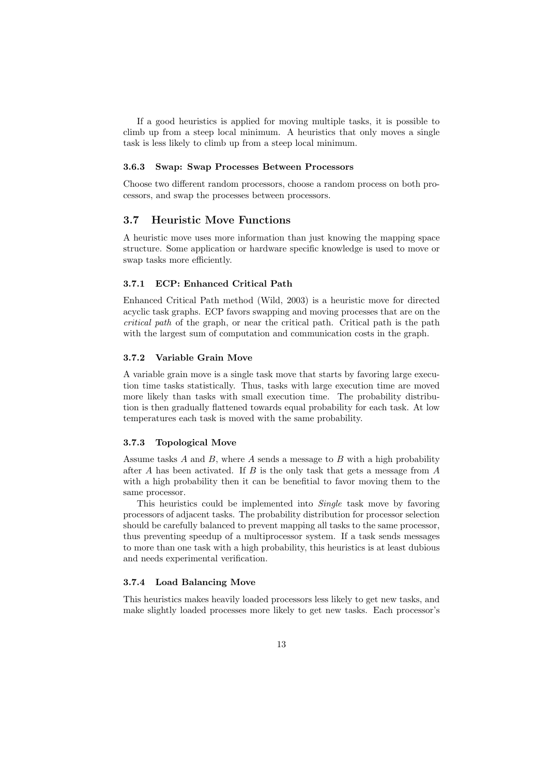If a good heuristics is applied for moving multiple tasks, it is possible to climb up from a steep local minimum. A heuristics that only moves a single task is less likely to climb up from a steep local minimum.

#### 3.6.3 Swap: Swap Processes Between Processors

Choose two different random processors, choose a random process on both processors, and swap the processes between processors.

# 3.7 Heuristic Move Functions

A heuristic move uses more information than just knowing the mapping space structure. Some application or hardware specific knowledge is used to move or swap tasks more efficiently.

#### 3.7.1 ECP: Enhanced Critical Path

Enhanced Critical Path method (Wild, 2003) is a heuristic move for directed acyclic task graphs. ECP favors swapping and moving processes that are on the critical path of the graph, or near the critical path. Critical path is the path with the largest sum of computation and communication costs in the graph.

### 3.7.2 Variable Grain Move

A variable grain move is a single task move that starts by favoring large execution time tasks statistically. Thus, tasks with large execution time are moved more likely than tasks with small execution time. The probability distribution is then gradually flattened towards equal probability for each task. At low temperatures each task is moved with the same probability.

#### 3.7.3 Topological Move

Assume tasks  $A$  and  $B$ , where  $A$  sends a message to  $B$  with a high probability after A has been activated. If B is the only task that gets a message from  $A$ with a high probability then it can be benefitial to favor moving them to the same processor.

This heuristics could be implemented into Single task move by favoring processors of adjacent tasks. The probability distribution for processor selection should be carefully balanced to prevent mapping all tasks to the same processor, thus preventing speedup of a multiprocessor system. If a task sends messages to more than one task with a high probability, this heuristics is at least dubious and needs experimental verification.

#### 3.7.4 Load Balancing Move

This heuristics makes heavily loaded processors less likely to get new tasks, and make slightly loaded processes more likely to get new tasks. Each processor's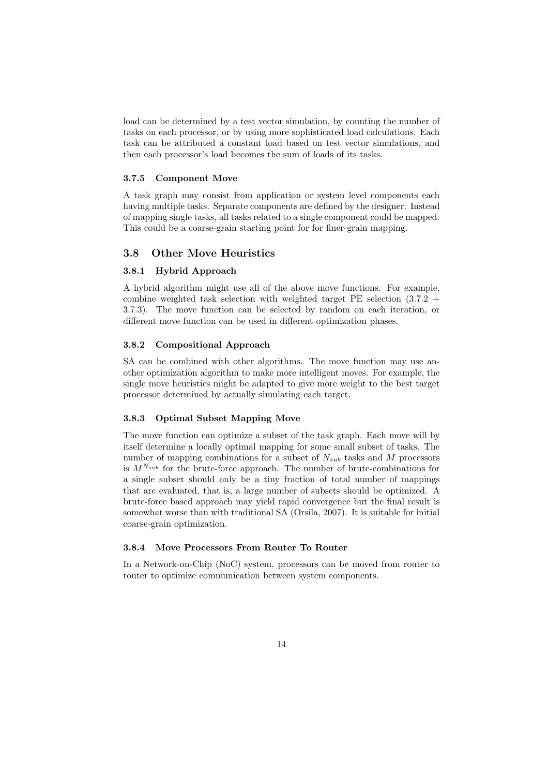load can be determined by a test vector simulation, by counting the number of tasks on each processor, or by using more sophisticated load calculations. Each task can be attributed a constant load based on test vector simulations, and then each processor's load becomes the sum of loads of its tasks.

#### 3.7.5 Component Move

A task graph may consist from application or system level components each having multiple tasks. Separate components are defined by the designer. Instead of mapping single tasks, all tasks related to a single component could be mapped. This could be a coarse-grain starting point for for finer-grain mapping.

#### 3.8 Other Move Heuristics

#### 3.8.1 Hybrid Approach

A hybrid algorithm might use all of the above move functions. For example, combine weighted task selection with weighted target PE selection (3.7.2 + 3.7.3). The move function can be selected by random on each iteration, or different move function can be used in different optimization phases.

#### 3.8.2 Compositional Approach

SA can be combined with other algorithms. The move function may use another optimization algorithm to make more intelligent moves. For example, the single move heuristics might be adapted to give more weight to the best target processor determined by actually simulating each target.

#### 3.8.3 Optimal Subset Mapping Move

The move function can optimize a subset of the task graph. Each move will by itself determine a locally optimal mapping for some small subset of tasks. The number of mapping combinations for a subset of  $N_{sub}$  tasks and M processors is  $M^{N_{sub}}$  for the brute-force approach. The number of brute-combinations for a single subset should only be a tiny fraction of total number of mappings that are evaluated, that is, a large number of subsets should be optimized. A brute-force based approach may yield rapid convergence but the final result is somewhat worse than with traditional SA (Orsila, 2007). It is suitable for initial coarse-grain optimization.

#### 3.8.4 Move Processors From Router To Router

In a Network-on-Chip (NoC) system, processors can be moved from router to router to optimize communication between system components.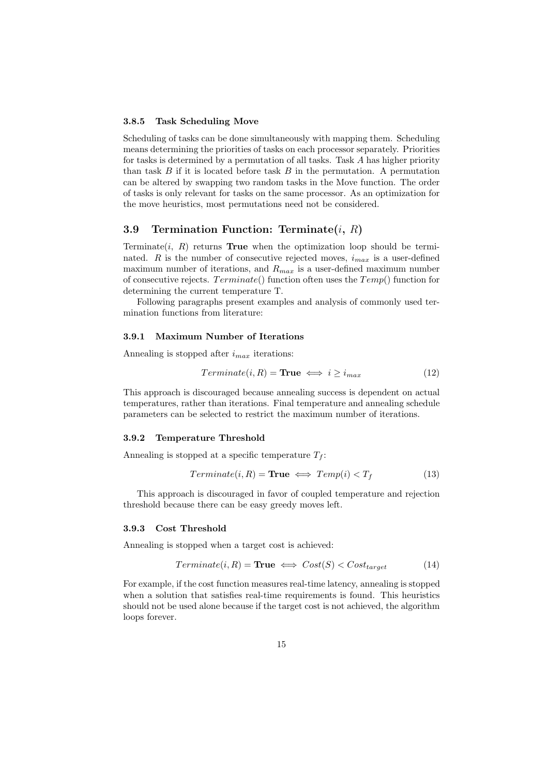#### 3.8.5 Task Scheduling Move

Scheduling of tasks can be done simultaneously with mapping them. Scheduling means determining the priorities of tasks on each processor separately. Priorities for tasks is determined by a permutation of all tasks. Task A has higher priority than task  $B$  if it is located before task  $B$  in the permutation. A permutation can be altered by swapping two random tasks in the Move function. The order of tasks is only relevant for tasks on the same processor. As an optimization for the move heuristics, most permutations need not be considered.

### 3.9 Termination Function: Terminate $(i, R)$

Terminate(i, R) returns **True** when the optimization loop should be terminated. R is the number of consecutive rejected moves,  $i_{max}$  is a user-defined maximum number of iterations, and  $R_{max}$  is a user-defined maximum number of consecutive rejects.  $Terminate()$  function often uses the  $Temp()$  function for determining the current temperature T.

Following paragraphs present examples and analysis of commonly used termination functions from literature:

### 3.9.1 Maximum Number of Iterations

Annealing is stopped after  $i_{max}$  iterations:

$$
Terminate(i, R) = \text{True} \iff i \ge i_{max} \tag{12}
$$

This approach is discouraged because annealing success is dependent on actual temperatures, rather than iterations. Final temperature and annealing schedule parameters can be selected to restrict the maximum number of iterations.

#### 3.9.2 Temperature Threshold

Annealing is stopped at a specific temperature  $T_f$ :

$$
Terminate(i, R) = \text{True} \iff Temp(i) < T_f \tag{13}
$$

This approach is discouraged in favor of coupled temperature and rejection threshold because there can be easy greedy moves left.

#### 3.9.3 Cost Threshold

Annealing is stopped when a target cost is achieved:

$$
Terminate(i, R) = \text{True} \iff Cost(S) < Cost_{target} \tag{14}
$$

For example, if the cost function measures real-time latency, annealing is stopped when a solution that satisfies real-time requirements is found. This heuristics should not be used alone because if the target cost is not achieved, the algorithm loops forever.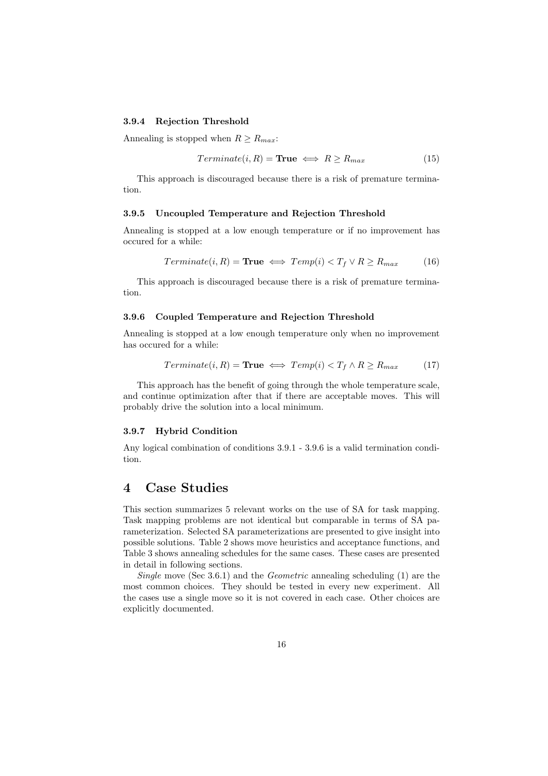#### 3.9.4 Rejection Threshold

Annealing is stopped when  $R > R_{max}$ :

$$
Terminate(i, R) = \text{True} \iff R \ge R_{max} \tag{15}
$$

This approach is discouraged because there is a risk of premature termination.

#### 3.9.5 Uncoupled Temperature and Rejection Threshold

Annealing is stopped at a low enough temperature or if no improvement has occured for a while:

*Terminate*(*i*, *R*) = **True** 
$$
\iff
$$
 *Temp*(*i*)  $\lt$  *T<sub>f</sub>*  $\lor$  *R*  $\geq$  *R<sub>max</sub>* (16)

This approach is discouraged because there is a risk of premature termination.

### 3.9.6 Coupled Temperature and Rejection Threshold

Annealing is stopped at a low enough temperature only when no improvement has occured for a while:

$$
Terminate(i, R) = \text{True} \iff Temp(i) < T_f \land R \ge R_{max} \tag{17}
$$

This approach has the benefit of going through the whole temperature scale, and continue optimization after that if there are acceptable moves. This will probably drive the solution into a local minimum.

#### 3.9.7 Hybrid Condition

Any logical combination of conditions 3.9.1 - 3.9.6 is a valid termination condition.

# 4 Case Studies

This section summarizes 5 relevant works on the use of SA for task mapping. Task mapping problems are not identical but comparable in terms of SA parameterization. Selected SA parameterizations are presented to give insight into possible solutions. Table 2 shows move heuristics and acceptance functions, and Table 3 shows annealing schedules for the same cases. These cases are presented in detail in following sections.

Single move (Sec 3.6.1) and the Geometric annealing scheduling (1) are the most common choices. They should be tested in every new experiment. All the cases use a single move so it is not covered in each case. Other choices are explicitly documented.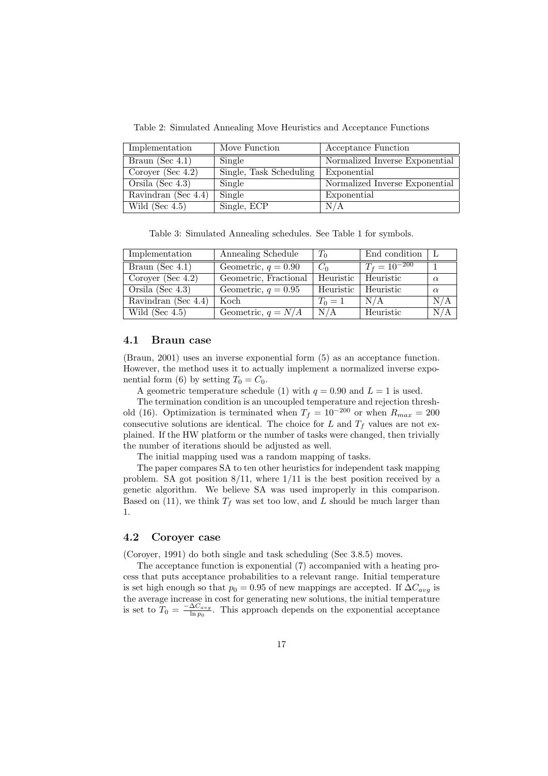Table 2: Simulated Annealing Move Heuristics and Acceptance Functions

| Implementation                  | Move Function           | Acceptance Function            |
|---------------------------------|-------------------------|--------------------------------|
| Braun (Sec $4.1$ )              | Single                  | Normalized Inverse Exponential |
| Coroyer (Sec $4.2$ )            | Single, Task Scheduling | Exponential                    |
| Orsila (Sec $\overline{4.3)}$ ) | Single                  | Normalized Inverse Exponential |
| Ravindran (Sec $4.4$ )          | Single                  | Exponential                    |
| Wild (Sec $4.5$ )               | Single, ECP             | N/A                            |

Table 3: Simulated Annealing schedules. See Table 1 for symbols.

| Implementation       | Annealing Schedule    | $T_0$     | End condition     |          |
|----------------------|-----------------------|-----------|-------------------|----------|
| Braun (Sec $4.1$ )   | Geometric, $q = 0.90$ | $C_0$     | $T_f = 10^{-200}$ |          |
| Coroyer (Sec $4.2$ ) | Geometric, Fractional | Heuristic | Heuristic         | $\alpha$ |
| Orsila (Sec $4.3$ )  | Geometric, $q = 0.95$ | Heuristic | Heuristic         | $\alpha$ |
| Ravindran (Sec 4.4)  | Koch                  | $T_0 = 1$ | N/A               | N/A      |
| Wild (Sec $4.5$ )    | Geometric, $q = N/A$  | N/A       | Heuristic         | N/A      |

#### 4.1 Braun case

(Braun, 2001) uses an inverse exponential form (5) as an acceptance function. However, the method uses it to actually implement a normalized inverse exponential form (6) by setting  $T_0 = C_0$ .

A geometric temperature schedule (1) with  $q = 0.90$  and  $L = 1$  is used.

The termination condition is an uncoupled temperature and rejection threshold (16). Optimization is terminated when  $T_f = 10^{-200}$  or when  $R_{max} = 200$ consecutive solutions are identical. The choice for L and  $T_f$  values are not explained. If the HW platform or the number of tasks were changed, then trivially the number of iterations should be adjusted as well.

The initial mapping used was a random mapping of tasks.

The paper compares SA to ten other heuristics for independent task mapping problem. SA got position 8/11, where 1/11 is the best position received by a genetic algorithm. We believe SA was used improperly in this comparison. Based on (11), we think  $T_f$  was set too low, and L should be much larger than 1.

# 4.2 Coroyer case

(Coroyer, 1991) do both single and task scheduling (Sec 3.8.5) moves.

The acceptance function is exponential (7) accompanied with a heating process that puts acceptance probabilities to a relevant range. Initial temperature is set high enough so that  $p_0 = 0.95$  of new mappings are accepted. If  $\Delta C_{avg}$  is the average increase in cost for generating new solutions, the initial temperature is set to  $\overline{T}_0 = \frac{-\Delta C_{avg}}{\ln p_0}$  $\frac{\Delta C_{avg}}{\ln p_0}$ . This approach depends on the exponential acceptance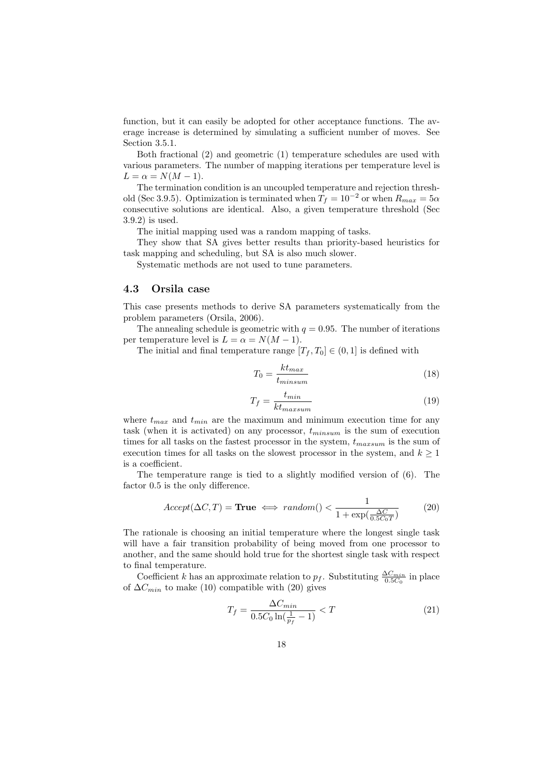function, but it can easily be adopted for other acceptance functions. The average increase is determined by simulating a sufficient number of moves. See Section 3.5.1.

Both fractional (2) and geometric (1) temperature schedules are used with various parameters. The number of mapping iterations per temperature level is  $L = \alpha = N(M-1).$ 

The termination condition is an uncoupled temperature and rejection threshold (Sec 3.9.5). Optimization is terminated when  $T_f = 10^{-2}$  or when  $R_{max} = 5\alpha$ consecutive solutions are identical. Also, a given temperature threshold (Sec 3.9.2) is used.

The initial mapping used was a random mapping of tasks.

They show that SA gives better results than priority-based heuristics for task mapping and scheduling, but SA is also much slower.

Systematic methods are not used to tune parameters.

#### 4.3 Orsila case

This case presents methods to derive SA parameters systematically from the problem parameters (Orsila, 2006).

The annealing schedule is geometric with  $q = 0.95$ . The number of iterations per temperature level is  $L = \alpha = N(M - 1)$ .

The initial and final temperature range  $[T_f, T_0] \in (0, 1]$  is defined with

$$
T_0 = \frac{kt_{max}}{t_{minsum}}\tag{18}
$$

$$
T_f = \frac{t_{min}}{kt_{maxsum}}\tag{19}
$$

where  $t_{max}$  and  $t_{min}$  are the maximum and minimum execution time for any task (when it is activated) on any processor,  $t_{minsum}$  is the sum of execution times for all tasks on the fastest processor in the system,  $t_{maxsum}$  is the sum of execution times for all tasks on the slowest processor in the system, and  $k \geq 1$ is a coefficient.

The temperature range is tied to a slightly modified version of (6). The factor 0.5 is the only difference.

$$
Accept(\Delta C, T) = \text{True} \iff random() < \frac{1}{1 + \exp(\frac{\Delta C}{0.5 C_0 T})} \tag{20}
$$

The rationale is choosing an initial temperature where the longest single task will have a fair transition probability of being moved from one processor to another, and the same should hold true for the shortest single task with respect to final temperature.

Coefficient k has an approximate relation to  $p_f$ . Substituting  $\frac{\Delta C_{min}}{0.5C_0}$  in place of  $\Delta C_{min}$  to make (10) compatible with (20) gives

$$
T_f = \frac{\Delta C_{min}}{0.5C_0 \ln(\frac{1}{p_f} - 1)} < T \tag{21}
$$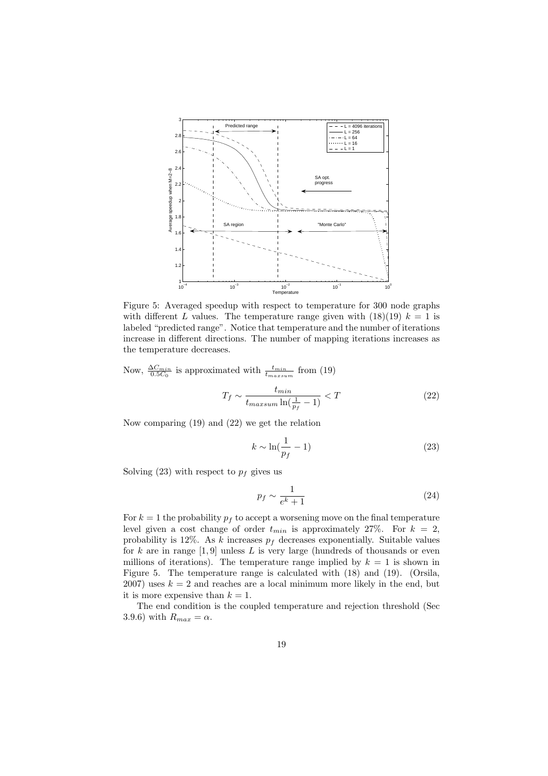

Figure 5: Averaged speedup with respect to temperature for 300 node graphs with different L values. The temperature range given with  $(18)(19)$   $k = 1$  is labeled "predicted range". Notice that temperature and the number of iterations increase in different directions. The number of mapping iterations increases as the temperature decreases.

Now,  $\frac{\Delta C_{min}}{0.5C_0}$  is approximated with  $\frac{t_{min}}{t_{maxsum}}$  from (19)

$$
T_f \sim \frac{t_{min}}{t_{maxsum} \ln\left(\frac{1}{p_f} - 1\right)} < T \tag{22}
$$

Now comparing (19) and (22) we get the relation

$$
k \sim \ln(\frac{1}{p_f} - 1) \tag{23}
$$

Solving (23) with respect to  $p_f$  gives us

$$
p_f \sim \frac{1}{e^k + 1} \tag{24}
$$

For  $k = 1$  the probability  $p_f$  to accept a worsening move on the final temperature level given a cost change of order  $t_{min}$  is approximately 27%. For  $k = 2$ , probability is 12%. As k increases  $p_f$  decreases exponentially. Suitable values for k are in range  $[1, 9]$  unless L is very large (hundreds of thousands or even millions of iterations). The temperature range implied by  $k = 1$  is shown in Figure 5. The temperature range is calculated with (18) and (19). (Orsila, 2007) uses  $k = 2$  and reaches are a local minimum more likely in the end, but it is more expensive than  $k = 1$ .

The end condition is the coupled temperature and rejection threshold (Sec 3.9.6) with  $R_{max} = \alpha$ .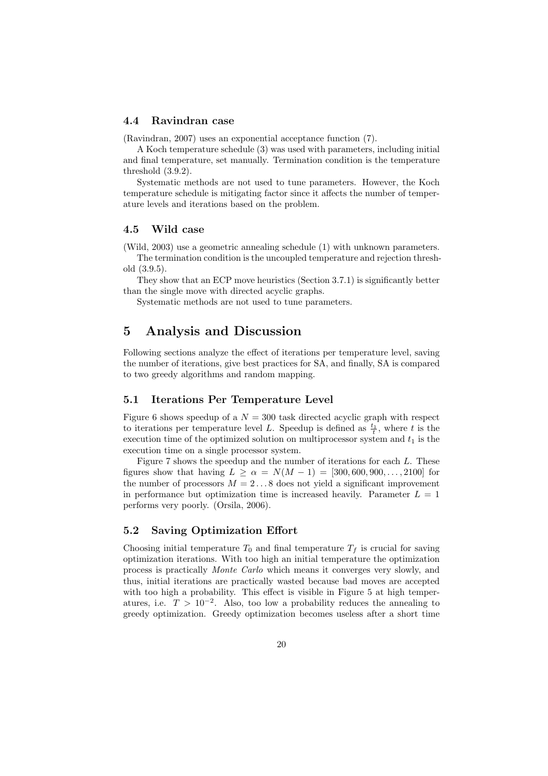#### 4.4 Ravindran case

(Ravindran, 2007) uses an exponential acceptance function (7).

A Koch temperature schedule (3) was used with parameters, including initial and final temperature, set manually. Termination condition is the temperature threshold (3.9.2).

Systematic methods are not used to tune parameters. However, the Koch temperature schedule is mitigating factor since it affects the number of temperature levels and iterations based on the problem.

#### 4.5 Wild case

(Wild, 2003) use a geometric annealing schedule (1) with unknown parameters. The termination condition is the uncoupled temperature and rejection threshold (3.9.5).

They show that an ECP move heuristics (Section 3.7.1) is significantly better than the single move with directed acyclic graphs.

Systematic methods are not used to tune parameters.

# 5 Analysis and Discussion

Following sections analyze the effect of iterations per temperature level, saving the number of iterations, give best practices for SA, and finally, SA is compared to two greedy algorithms and random mapping.

# 5.1 Iterations Per Temperature Level

Figure 6 shows speedup of a  $N = 300$  task directed acyclic graph with respect to iterations per temperature level L. Speedup is defined as  $\frac{t_1}{t}$ , where t is the execution time of the optimized solution on multiprocessor system and  $t_1$  is the execution time on a single processor system.

Figure 7 shows the speedup and the number of iterations for each L. These figures show that having  $L \ge \alpha = N(M-1) = [300, 600, 900, \dots, 2100]$  for the number of processors  $M = 2...8$  does not yield a significant improvement in performance but optimization time is increased heavily. Parameter  $L = 1$ performs very poorly. (Orsila, 2006).

# 5.2 Saving Optimization Effort

Choosing initial temperature  $T_0$  and final temperature  $T_f$  is crucial for saving optimization iterations. With too high an initial temperature the optimization process is practically Monte Carlo which means it converges very slowly, and thus, initial iterations are practically wasted because bad moves are accepted with too high a probability. This effect is visible in Figure 5 at high temperatures, i.e.  $T > 10^{-2}$ . Also, too low a probability reduces the annealing to greedy optimization. Greedy optimization becomes useless after a short time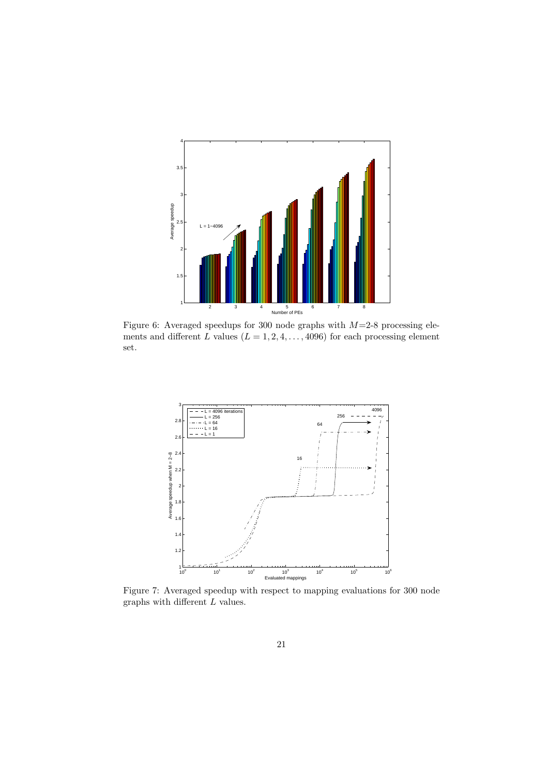

Figure 6: Averaged speedups for 300 node graphs with  $M=2-8$  processing elements and different L values  $(L = 1, 2, 4, ..., 4096)$  for each processing element set.



Figure 7: Averaged speedup with respect to mapping evaluations for 300 node graphs with different L values.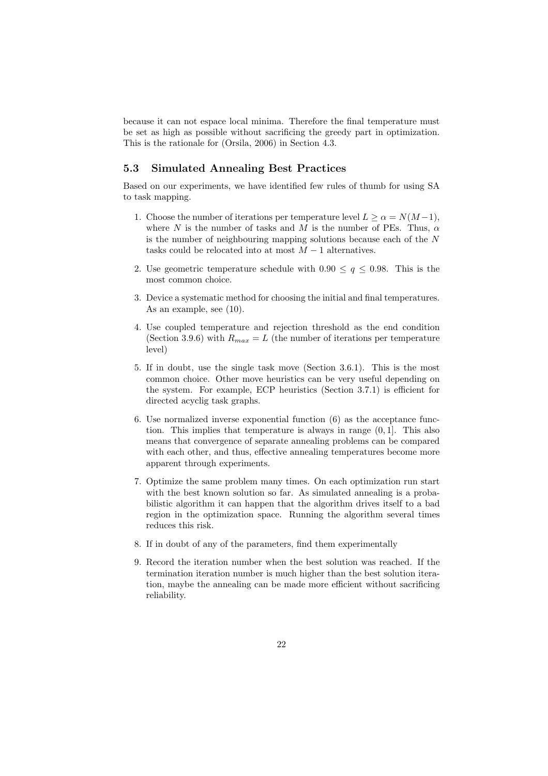because it can not espace local minima. Therefore the final temperature must be set as high as possible without sacrificing the greedy part in optimization. This is the rationale for (Orsila, 2006) in Section 4.3.

### 5.3 Simulated Annealing Best Practices

Based on our experiments, we have identified few rules of thumb for using SA to task mapping.

- 1. Choose the number of iterations per temperature level  $L > \alpha = N(M-1)$ , where N is the number of tasks and M is the number of PEs. Thus,  $\alpha$ is the number of neighbouring mapping solutions because each of the N tasks could be relocated into at most  $M-1$  alternatives.
- 2. Use geometric temperature schedule with  $0.90 \le q \le 0.98$ . This is the most common choice.
- 3. Device a systematic method for choosing the initial and final temperatures. As an example, see (10).
- 4. Use coupled temperature and rejection threshold as the end condition (Section 3.9.6) with  $R_{max} = L$  (the number of iterations per temperature level)
- 5. If in doubt, use the single task move (Section 3.6.1). This is the most common choice. Other move heuristics can be very useful depending on the system. For example, ECP heuristics (Section 3.7.1) is efficient for directed acyclig task graphs.
- 6. Use normalized inverse exponential function (6) as the acceptance function. This implies that temperature is always in range  $(0, 1]$ . This also means that convergence of separate annealing problems can be compared with each other, and thus, effective annealing temperatures become more apparent through experiments.
- 7. Optimize the same problem many times. On each optimization run start with the best known solution so far. As simulated annealing is a probabilistic algorithm it can happen that the algorithm drives itself to a bad region in the optimization space. Running the algorithm several times reduces this risk.
- 8. If in doubt of any of the parameters, find them experimentally
- 9. Record the iteration number when the best solution was reached. If the termination iteration number is much higher than the best solution iteration, maybe the annealing can be made more efficient without sacrificing reliability.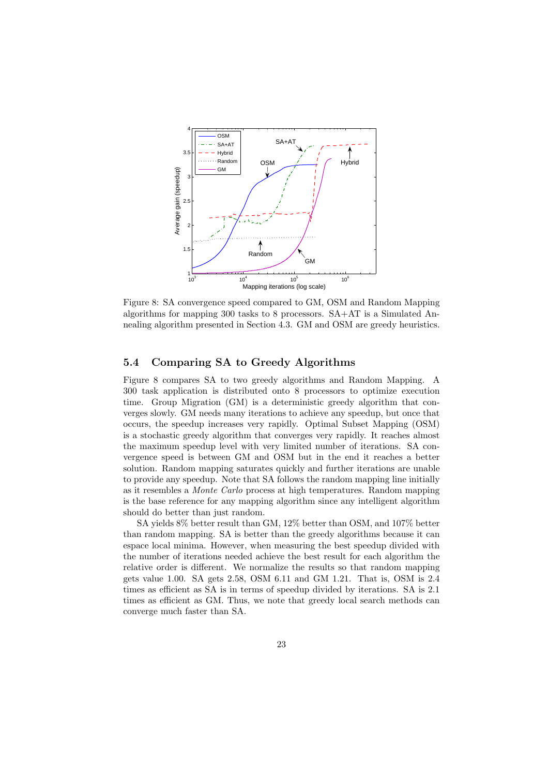

Figure 8: SA convergence speed compared to GM, OSM and Random Mapping algorithms for mapping 300 tasks to 8 processors. SA+AT is a Simulated Annealing algorithm presented in Section 4.3. GM and OSM are greedy heuristics.

# 5.4 Comparing SA to Greedy Algorithms

Figure 8 compares SA to two greedy algorithms and Random Mapping. A 300 task application is distributed onto 8 processors to optimize execution time. Group Migration (GM) is a deterministic greedy algorithm that converges slowly. GM needs many iterations to achieve any speedup, but once that occurs, the speedup increases very rapidly. Optimal Subset Mapping (OSM) is a stochastic greedy algorithm that converges very rapidly. It reaches almost the maximum speedup level with very limited number of iterations. SA convergence speed is between GM and OSM but in the end it reaches a better solution. Random mapping saturates quickly and further iterations are unable to provide any speedup. Note that SA follows the random mapping line initially as it resembles a Monte Carlo process at high temperatures. Random mapping is the base reference for any mapping algorithm since any intelligent algorithm should do better than just random.

SA yields 8% better result than GM, 12% better than OSM, and 107% better than random mapping. SA is better than the greedy algorithms because it can espace local minima. However, when measuring the best speedup divided with the number of iterations needed achieve the best result for each algorithm the relative order is different. We normalize the results so that random mapping gets value 1.00. SA gets 2.58, OSM 6.11 and GM 1.21. That is, OSM is 2.4 times as efficient as SA is in terms of speedup divided by iterations. SA is 2.1 times as efficient as GM. Thus, we note that greedy local search methods can converge much faster than SA.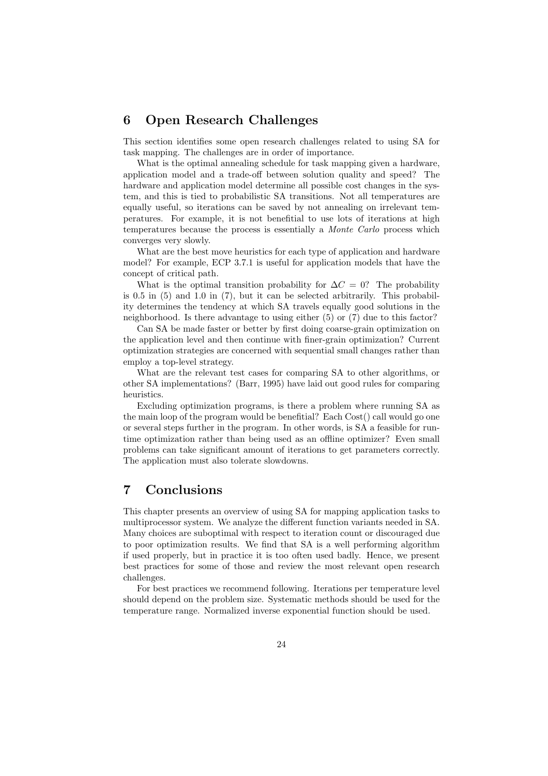# 6 Open Research Challenges

This section identifies some open research challenges related to using SA for task mapping. The challenges are in order of importance.

What is the optimal annealing schedule for task mapping given a hardware, application model and a trade-off between solution quality and speed? The hardware and application model determine all possible cost changes in the system, and this is tied to probabilistic SA transitions. Not all temperatures are equally useful, so iterations can be saved by not annealing on irrelevant temperatures. For example, it is not benefitial to use lots of iterations at high temperatures because the process is essentially a Monte Carlo process which converges very slowly.

What are the best move heuristics for each type of application and hardware model? For example, ECP 3.7.1 is useful for application models that have the concept of critical path.

What is the optimal transition probability for  $\Delta C = 0$ ? The probability is 0.5 in (5) and 1.0 in (7), but it can be selected arbitrarily. This probability determines the tendency at which SA travels equally good solutions in the neighborhood. Is there advantage to using either (5) or (7) due to this factor?

Can SA be made faster or better by first doing coarse-grain optimization on the application level and then continue with finer-grain optimization? Current optimization strategies are concerned with sequential small changes rather than employ a top-level strategy.

What are the relevant test cases for comparing SA to other algorithms, or other SA implementations? (Barr, 1995) have laid out good rules for comparing heuristics.

Excluding optimization programs, is there a problem where running SA as the main loop of the program would be benefitial? Each Cost() call would go one or several steps further in the program. In other words, is SA a feasible for runtime optimization rather than being used as an offline optimizer? Even small problems can take significant amount of iterations to get parameters correctly. The application must also tolerate slowdowns.

# 7 Conclusions

This chapter presents an overview of using SA for mapping application tasks to multiprocessor system. We analyze the different function variants needed in SA. Many choices are suboptimal with respect to iteration count or discouraged due to poor optimization results. We find that SA is a well performing algorithm if used properly, but in practice it is too often used badly. Hence, we present best practices for some of those and review the most relevant open research challenges.

For best practices we recommend following. Iterations per temperature level should depend on the problem size. Systematic methods should be used for the temperature range. Normalized inverse exponential function should be used.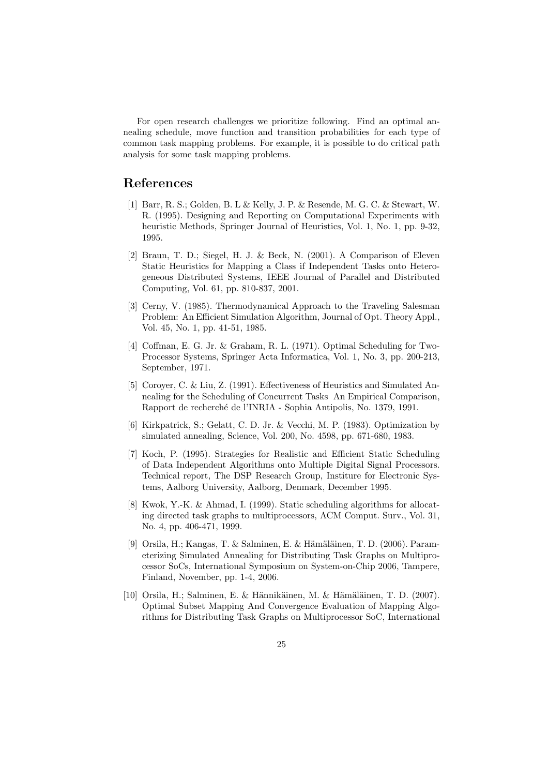For open research challenges we prioritize following. Find an optimal annealing schedule, move function and transition probabilities for each type of common task mapping problems. For example, it is possible to do critical path analysis for some task mapping problems.

# References

- [1] Barr, R. S.; Golden, B. L & Kelly, J. P. & Resende, M. G. C. & Stewart, W. R. (1995). Designing and Reporting on Computational Experiments with heuristic Methods, Springer Journal of Heuristics, Vol. 1, No. 1, pp. 9-32, 1995.
- [2] Braun, T. D.; Siegel, H. J. & Beck, N. (2001). A Comparison of Eleven Static Heuristics for Mapping a Class if Independent Tasks onto Heterogeneous Distributed Systems, IEEE Journal of Parallel and Distributed Computing, Vol. 61, pp. 810-837, 2001.
- [3] Cerny, V. (1985). Thermodynamical Approach to the Traveling Salesman Problem: An Efficient Simulation Algorithm, Journal of Opt. Theory Appl. Vol. 45, No. 1, pp. 41-51, 1985.
- [4] Coffman, E. G. Jr. & Graham, R. L. (1971). Optimal Scheduling for Two-Processor Systems, Springer Acta Informatica, Vol. 1, No. 3, pp. 200-213, September, 1971.
- [5] Coroyer, C. & Liu, Z. (1991). Effectiveness of Heuristics and Simulated Annealing for the Scheduling of Concurrent Tasks An Empirical Comparison, Rapport de recherch´e de l'INRIA - Sophia Antipolis, No. 1379, 1991.
- [6] Kirkpatrick, S.; Gelatt, C. D. Jr. & Vecchi, M. P. (1983). Optimization by simulated annealing, Science, Vol. 200, No. 4598, pp. 671-680, 1983.
- [7] Koch, P. (1995). Strategies for Realistic and Efficient Static Scheduling of Data Independent Algorithms onto Multiple Digital Signal Processors. Technical report, The DSP Research Group, Institure for Electronic Systems, Aalborg University, Aalborg, Denmark, December 1995.
- [8] Kwok, Y.-K. & Ahmad, I. (1999). Static scheduling algorithms for allocating directed task graphs to multiprocessors, ACM Comput. Surv., Vol. 31, No. 4, pp. 406-471, 1999.
- [9] Orsila, H.; Kangas, T. & Salminen, E. & Hämäläinen, T. D. (2006). Parameterizing Simulated Annealing for Distributing Task Graphs on Multiprocessor SoCs, International Symposium on System-on-Chip 2006, Tampere, Finland, November, pp. 1-4, 2006.
- [10] Orsila, H.; Salminen, E. & Hännikäinen, M. & Hämäläinen, T. D. (2007). Optimal Subset Mapping And Convergence Evaluation of Mapping Algorithms for Distributing Task Graphs on Multiprocessor SoC, International